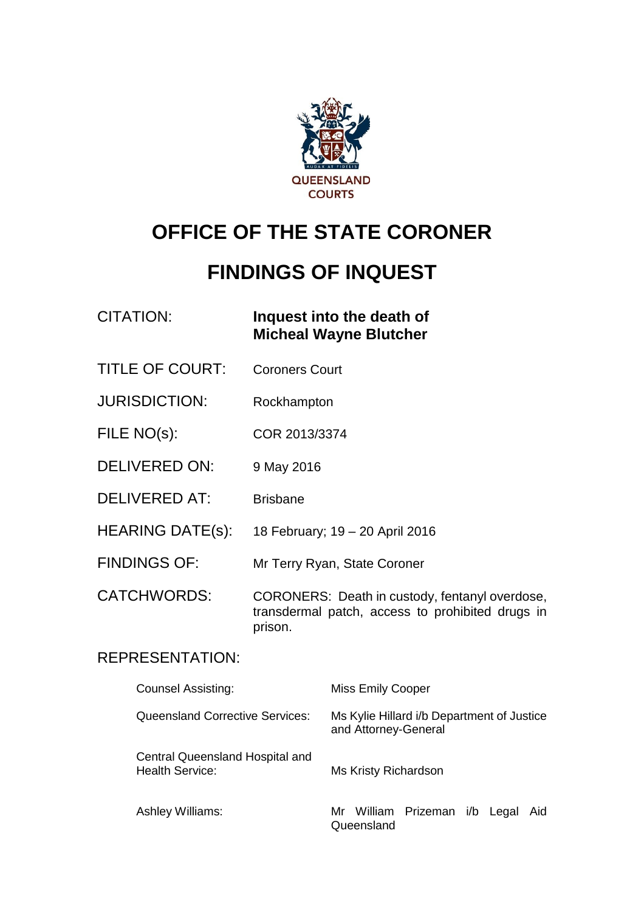

# **OFFICE OF THE STATE CORONER**

# **FINDINGS OF INQUEST**

### CITATION: **Inquest into the death of Micheal Wayne Blutcher**

- TITLE OF COURT: Coroners Court
- JURISDICTION: Rockhampton
- FILE NO(s): COR 2013/3374
- DELIVERED ON: 9 May 2016
- DELIVERED AT: Brisbane
- HEARING DATE(s): 18 February; 19 20 April 2016
- FINDINGS OF: Mr Terry Ryan, State Coroner

CATCHWORDS: CORONERS: Death in custody, fentanyl overdose, transdermal patch, access to prohibited drugs in prison.

#### REPRESENTATION:

| <b>Counsel Assisting:</b>                                 | <b>Miss Emily Cooper</b>                                           |  |
|-----------------------------------------------------------|--------------------------------------------------------------------|--|
| Queensland Corrective Services:                           | Ms Kylie Hillard i/b Department of Justice<br>and Attorney-General |  |
| Central Queensland Hospital and<br><b>Health Service:</b> | Ms Kristy Richardson                                               |  |
| <b>Ashley Williams:</b>                                   | Mr William Prizeman i/b Legal<br>Aid<br>Queensland                 |  |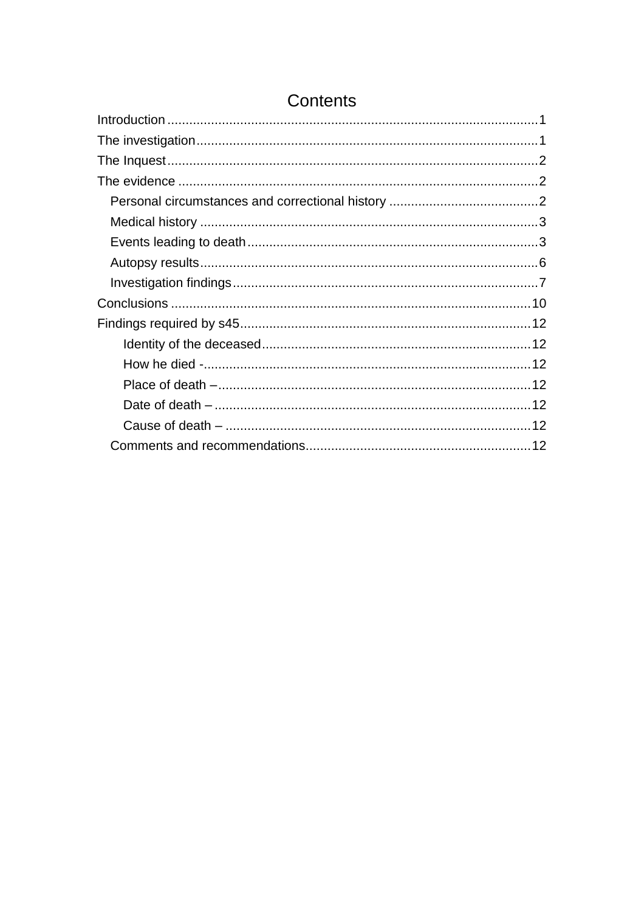## Contents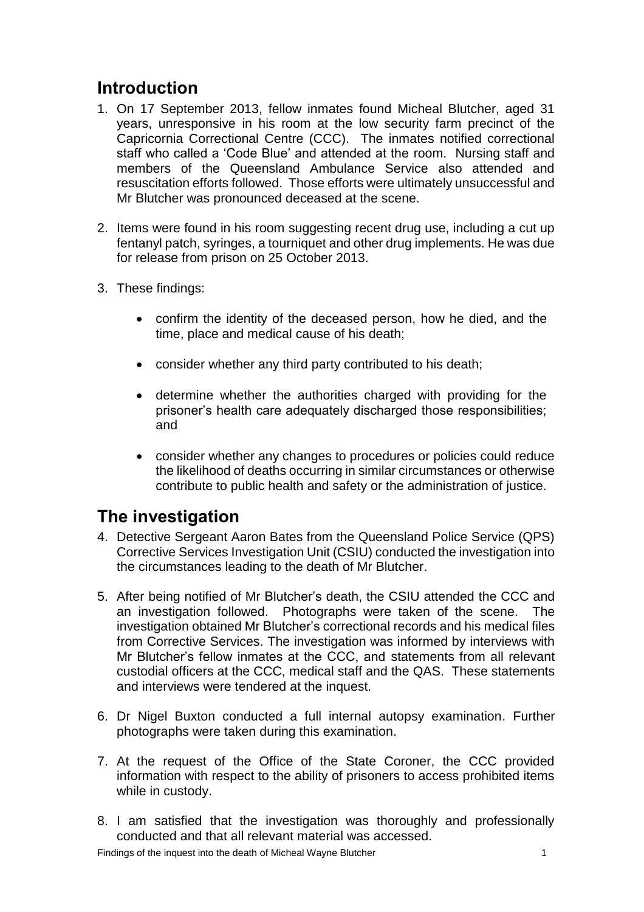## <span id="page-2-0"></span>**Introduction**

- 1. On 17 September 2013, fellow inmates found Micheal Blutcher, aged 31 years, unresponsive in his room at the low security farm precinct of the Capricornia Correctional Centre (CCC). The inmates notified correctional staff who called a 'Code Blue' and attended at the room. Nursing staff and members of the Queensland Ambulance Service also attended and resuscitation efforts followed. Those efforts were ultimately unsuccessful and Mr Blutcher was pronounced deceased at the scene.
- 2. Items were found in his room suggesting recent drug use, including a cut up fentanyl patch, syringes, a tourniquet and other drug implements. He was due for release from prison on 25 October 2013.
- 3. These findings:
	- confirm the identity of the deceased person, how he died, and the time, place and medical cause of his death;
	- consider whether any third party contributed to his death;
	- determine whether the authorities charged with providing for the prisoner's health care adequately discharged those responsibilities; and
	- consider whether any changes to procedures or policies could reduce the likelihood of deaths occurring in similar circumstances or otherwise contribute to public health and safety or the administration of justice.

# <span id="page-2-1"></span>**The investigation**

- 4. Detective Sergeant Aaron Bates from the Queensland Police Service (QPS) Corrective Services Investigation Unit (CSIU) conducted the investigation into the circumstances leading to the death of Mr Blutcher.
- 5. After being notified of Mr Blutcher's death, the CSIU attended the CCC and an investigation followed. Photographs were taken of the scene. The investigation obtained Mr Blutcher's correctional records and his medical files from Corrective Services. The investigation was informed by interviews with Mr Blutcher's fellow inmates at the CCC, and statements from all relevant custodial officers at the CCC, medical staff and the QAS. These statements and interviews were tendered at the inquest.
- 6. Dr Nigel Buxton conducted a full internal autopsy examination. Further photographs were taken during this examination.
- 7. At the request of the Office of the State Coroner, the CCC provided information with respect to the ability of prisoners to access prohibited items while in custody.
- 8. I am satisfied that the investigation was thoroughly and professionally conducted and that all relevant material was accessed.

Findings of the inquest into the death of Micheal Wayne Blutcher 1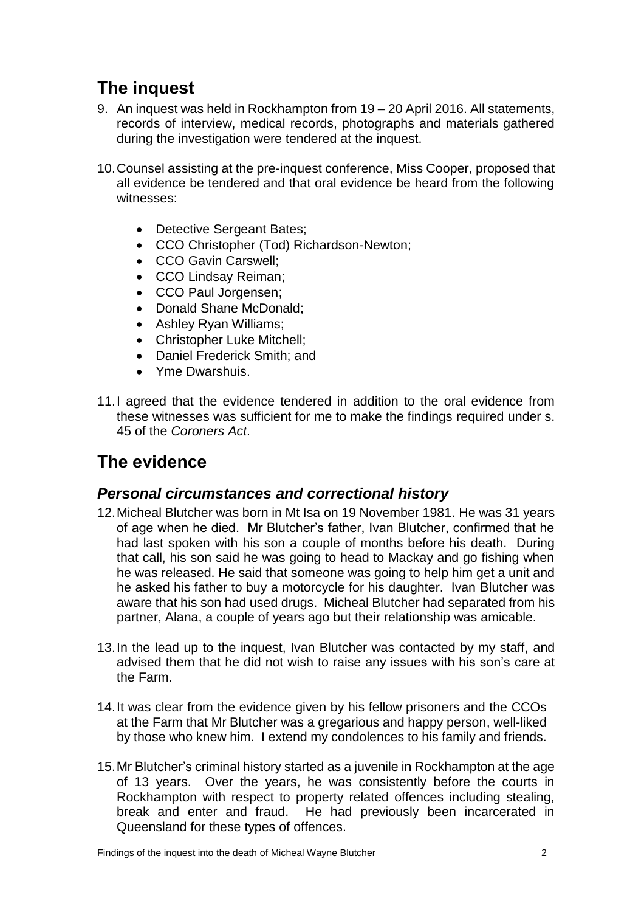# <span id="page-3-0"></span>**The inquest**

- 9. An inquest was held in Rockhampton from 19 20 April 2016. All statements, records of interview, medical records, photographs and materials gathered during the investigation were tendered at the inquest.
- 10.Counsel assisting at the pre-inquest conference, Miss Cooper, proposed that all evidence be tendered and that oral evidence be heard from the following witnesses:
	- Detective Sergeant Bates;
	- CCO Christopher (Tod) Richardson-Newton;
	- CCO Gavin Carswell:
	- CCO Lindsay Reiman;
	- CCO Paul Jorgensen;
	- Donald Shane McDonald;
	- Ashley Ryan Williams;
	- Christopher Luke Mitchell;
	- Daniel Frederick Smith; and
	- Yme Dwarshuis.
- 11.I agreed that the evidence tendered in addition to the oral evidence from these witnesses was sufficient for me to make the findings required under s. 45 of the *Coroners Act*.

# <span id="page-3-1"></span>**The evidence**

#### <span id="page-3-2"></span>*Personal circumstances and correctional history*

- 12.Micheal Blutcher was born in Mt Isa on 19 November 1981. He was 31 years of age when he died. Mr Blutcher's father, Ivan Blutcher, confirmed that he had last spoken with his son a couple of months before his death. During that call, his son said he was going to head to Mackay and go fishing when he was released. He said that someone was going to help him get a unit and he asked his father to buy a motorcycle for his daughter. Ivan Blutcher was aware that his son had used drugs. Micheal Blutcher had separated from his partner, Alana, a couple of years ago but their relationship was amicable.
- 13.In the lead up to the inquest, Ivan Blutcher was contacted by my staff, and advised them that he did not wish to raise any issues with his son's care at the Farm.
- 14.It was clear from the evidence given by his fellow prisoners and the CCOs at the Farm that Mr Blutcher was a gregarious and happy person, well-liked by those who knew him. I extend my condolences to his family and friends.
- 15.Mr Blutcher's criminal history started as a juvenile in Rockhampton at the age of 13 years. Over the years, he was consistently before the courts in Rockhampton with respect to property related offences including stealing, break and enter and fraud. He had previously been incarcerated in Queensland for these types of offences.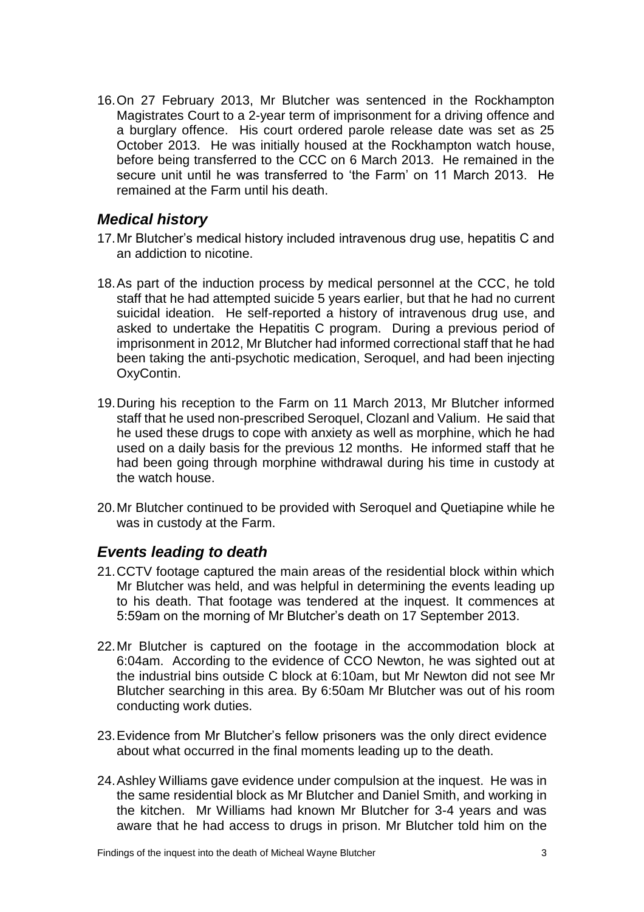16.On 27 February 2013, Mr Blutcher was sentenced in the Rockhampton Magistrates Court to a 2-year term of imprisonment for a driving offence and a burglary offence. His court ordered parole release date was set as 25 October 2013. He was initially housed at the Rockhampton watch house, before being transferred to the CCC on 6 March 2013. He remained in the secure unit until he was transferred to 'the Farm' on 11 March 2013. He remained at the Farm until his death.

#### <span id="page-4-0"></span>*Medical history*

- 17.Mr Blutcher's medical history included intravenous drug use, hepatitis C and an addiction to nicotine.
- 18.As part of the induction process by medical personnel at the CCC, he told staff that he had attempted suicide 5 years earlier, but that he had no current suicidal ideation. He self-reported a history of intravenous drug use, and asked to undertake the Hepatitis C program. During a previous period of imprisonment in 2012, Mr Blutcher had informed correctional staff that he had been taking the anti-psychotic medication, Seroquel, and had been injecting OxyContin.
- 19.During his reception to the Farm on 11 March 2013, Mr Blutcher informed staff that he used non-prescribed Seroquel, Clozanl and Valium. He said that he used these drugs to cope with anxiety as well as morphine, which he had used on a daily basis for the previous 12 months. He informed staff that he had been going through morphine withdrawal during his time in custody at the watch house.
- 20.Mr Blutcher continued to be provided with Seroquel and Quetiapine while he was in custody at the Farm.

#### <span id="page-4-1"></span>*Events leading to death*

- 21.CCTV footage captured the main areas of the residential block within which Mr Blutcher was held, and was helpful in determining the events leading up to his death. That footage was tendered at the inquest. It commences at 5:59am on the morning of Mr Blutcher's death on 17 September 2013.
- 22.Mr Blutcher is captured on the footage in the accommodation block at 6:04am. According to the evidence of CCO Newton, he was sighted out at the industrial bins outside C block at 6:10am, but Mr Newton did not see Mr Blutcher searching in this area. By 6:50am Mr Blutcher was out of his room conducting work duties.
- 23.Evidence from Mr Blutcher's fellow prisoners was the only direct evidence about what occurred in the final moments leading up to the death.
- 24.Ashley Williams gave evidence under compulsion at the inquest. He was in the same residential block as Mr Blutcher and Daniel Smith, and working in the kitchen. Mr Williams had known Mr Blutcher for 3-4 years and was aware that he had access to drugs in prison. Mr Blutcher told him on the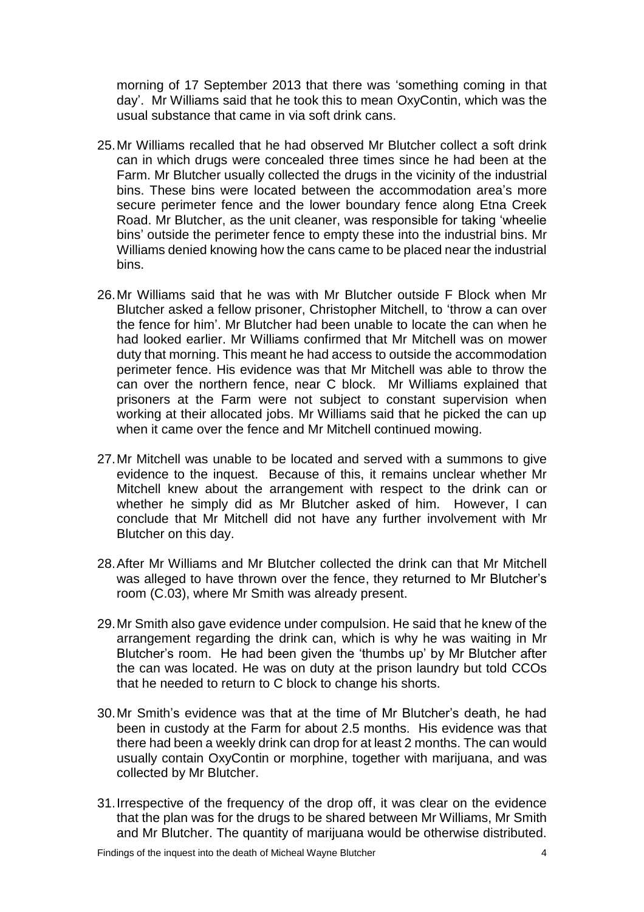morning of 17 September 2013 that there was 'something coming in that day'. Mr Williams said that he took this to mean OxyContin, which was the usual substance that came in via soft drink cans.

- 25.Mr Williams recalled that he had observed Mr Blutcher collect a soft drink can in which drugs were concealed three times since he had been at the Farm. Mr Blutcher usually collected the drugs in the vicinity of the industrial bins. These bins were located between the accommodation area's more secure perimeter fence and the lower boundary fence along Etna Creek Road. Mr Blutcher, as the unit cleaner, was responsible for taking 'wheelie bins' outside the perimeter fence to empty these into the industrial bins. Mr Williams denied knowing how the cans came to be placed near the industrial bins.
- 26.Mr Williams said that he was with Mr Blutcher outside F Block when Mr Blutcher asked a fellow prisoner, Christopher Mitchell, to 'throw a can over the fence for him'. Mr Blutcher had been unable to locate the can when he had looked earlier. Mr Williams confirmed that Mr Mitchell was on mower duty that morning. This meant he had access to outside the accommodation perimeter fence. His evidence was that Mr Mitchell was able to throw the can over the northern fence, near C block. Mr Williams explained that prisoners at the Farm were not subject to constant supervision when working at their allocated jobs. Mr Williams said that he picked the can up when it came over the fence and Mr Mitchell continued mowing.
- 27.Mr Mitchell was unable to be located and served with a summons to give evidence to the inquest. Because of this, it remains unclear whether Mr Mitchell knew about the arrangement with respect to the drink can or whether he simply did as Mr Blutcher asked of him. However, I can conclude that Mr Mitchell did not have any further involvement with Mr Blutcher on this day.
- 28.After Mr Williams and Mr Blutcher collected the drink can that Mr Mitchell was alleged to have thrown over the fence, they returned to Mr Blutcher's room (C.03), where Mr Smith was already present.
- 29.Mr Smith also gave evidence under compulsion. He said that he knew of the arrangement regarding the drink can, which is why he was waiting in Mr Blutcher's room. He had been given the 'thumbs up' by Mr Blutcher after the can was located. He was on duty at the prison laundry but told CCOs that he needed to return to C block to change his shorts.
- 30.Mr Smith's evidence was that at the time of Mr Blutcher's death, he had been in custody at the Farm for about 2.5 months. His evidence was that there had been a weekly drink can drop for at least 2 months. The can would usually contain OxyContin or morphine, together with marijuana, and was collected by Mr Blutcher.
- 31.Irrespective of the frequency of the drop off, it was clear on the evidence that the plan was for the drugs to be shared between Mr Williams, Mr Smith and Mr Blutcher. The quantity of marijuana would be otherwise distributed.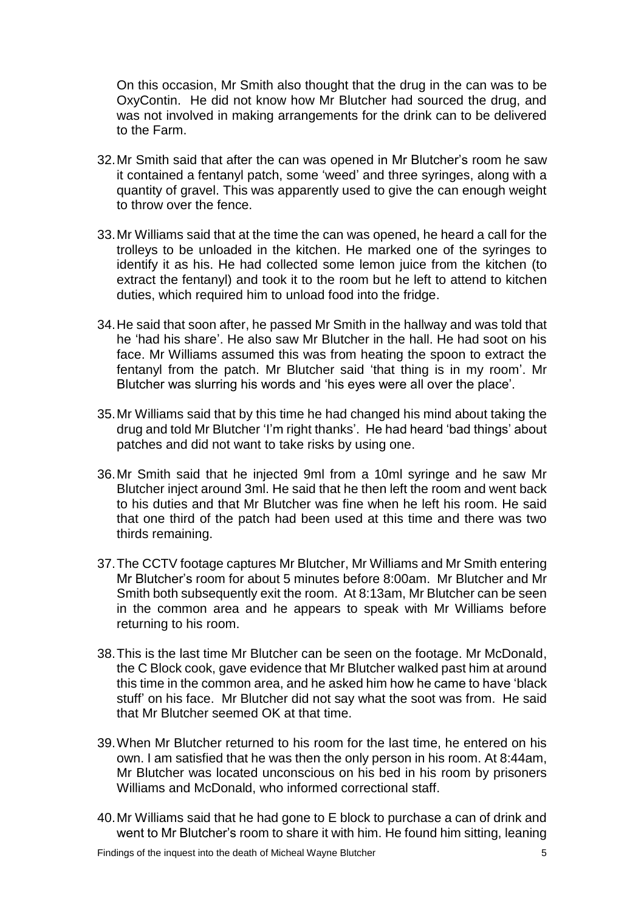On this occasion, Mr Smith also thought that the drug in the can was to be OxyContin. He did not know how Mr Blutcher had sourced the drug, and was not involved in making arrangements for the drink can to be delivered to the Farm.

- 32.Mr Smith said that after the can was opened in Mr Blutcher's room he saw it contained a fentanyl patch, some 'weed' and three syringes, along with a quantity of gravel. This was apparently used to give the can enough weight to throw over the fence.
- 33.Mr Williams said that at the time the can was opened, he heard a call for the trolleys to be unloaded in the kitchen. He marked one of the syringes to identify it as his. He had collected some lemon juice from the kitchen (to extract the fentanyl) and took it to the room but he left to attend to kitchen duties, which required him to unload food into the fridge.
- 34.He said that soon after, he passed Mr Smith in the hallway and was told that he 'had his share'. He also saw Mr Blutcher in the hall. He had soot on his face. Mr Williams assumed this was from heating the spoon to extract the fentanyl from the patch. Mr Blutcher said 'that thing is in my room'. Mr Blutcher was slurring his words and 'his eyes were all over the place'.
- 35.Mr Williams said that by this time he had changed his mind about taking the drug and told Mr Blutcher 'I'm right thanks'. He had heard 'bad things' about patches and did not want to take risks by using one.
- 36.Mr Smith said that he injected 9ml from a 10ml syringe and he saw Mr Blutcher inject around 3ml. He said that he then left the room and went back to his duties and that Mr Blutcher was fine when he left his room. He said that one third of the patch had been used at this time and there was two thirds remaining.
- 37.The CCTV footage captures Mr Blutcher, Mr Williams and Mr Smith entering Mr Blutcher's room for about 5 minutes before 8:00am. Mr Blutcher and Mr Smith both subsequently exit the room. At 8:13am, Mr Blutcher can be seen in the common area and he appears to speak with Mr Williams before returning to his room.
- 38.This is the last time Mr Blutcher can be seen on the footage. Mr McDonald, the C Block cook, gave evidence that Mr Blutcher walked past him at around this time in the common area, and he asked him how he came to have 'black stuff' on his face. Mr Blutcher did not say what the soot was from. He said that Mr Blutcher seemed OK at that time.
- 39.When Mr Blutcher returned to his room for the last time, he entered on his own. I am satisfied that he was then the only person in his room. At 8:44am, Mr Blutcher was located unconscious on his bed in his room by prisoners Williams and McDonald, who informed correctional staff.
- 40.Mr Williams said that he had gone to E block to purchase a can of drink and went to Mr Blutcher's room to share it with him. He found him sitting, leaning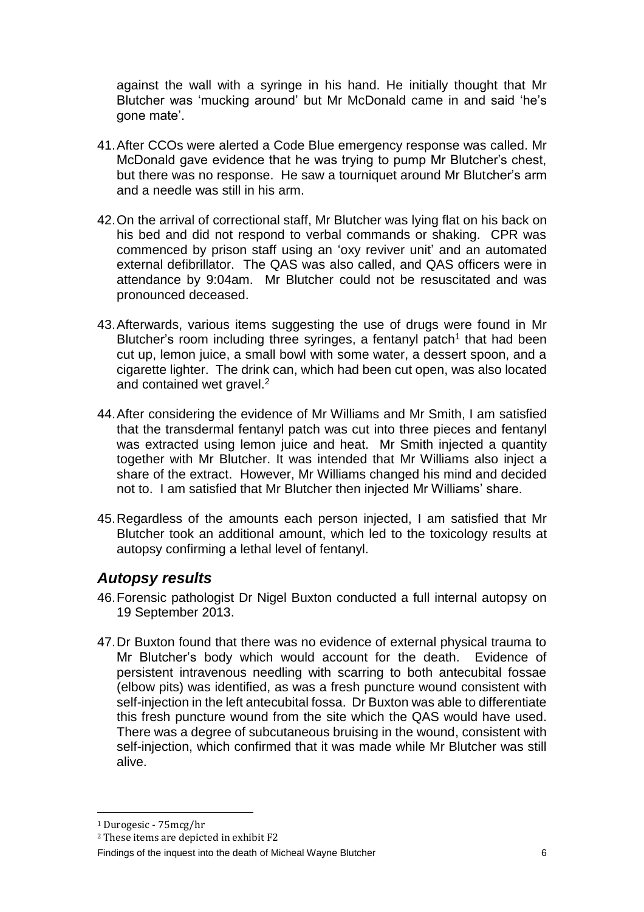against the wall with a syringe in his hand. He initially thought that Mr Blutcher was 'mucking around' but Mr McDonald came in and said 'he's gone mate'.

- 41.After CCOs were alerted a Code Blue emergency response was called. Mr McDonald gave evidence that he was trying to pump Mr Blutcher's chest, but there was no response. He saw a tourniquet around Mr Blutcher's arm and a needle was still in his arm.
- 42.On the arrival of correctional staff, Mr Blutcher was lying flat on his back on his bed and did not respond to verbal commands or shaking. CPR was commenced by prison staff using an 'oxy reviver unit' and an automated external defibrillator. The QAS was also called, and QAS officers were in attendance by 9:04am. Mr Blutcher could not be resuscitated and was pronounced deceased.
- 43.Afterwards, various items suggesting the use of drugs were found in Mr Blutcher's room including three syringes, a fentanyl patch<sup>1</sup> that had been cut up, lemon juice, a small bowl with some water, a dessert spoon, and a cigarette lighter. The drink can, which had been cut open, was also located and contained wet gravel. 2
- 44.After considering the evidence of Mr Williams and Mr Smith, I am satisfied that the transdermal fentanyl patch was cut into three pieces and fentanyl was extracted using lemon juice and heat. Mr Smith injected a quantity together with Mr Blutcher. It was intended that Mr Williams also inject a share of the extract. However, Mr Williams changed his mind and decided not to. I am satisfied that Mr Blutcher then injected Mr Williams' share.
- 45.Regardless of the amounts each person injected, I am satisfied that Mr Blutcher took an additional amount, which led to the toxicology results at autopsy confirming a lethal level of fentanyl.

### <span id="page-7-0"></span>*Autopsy results*

- 46.Forensic pathologist Dr Nigel Buxton conducted a full internal autopsy on 19 September 2013.
- 47.Dr Buxton found that there was no evidence of external physical trauma to Mr Blutcher's body which would account for the death. Evidence of persistent intravenous needling with scarring to both antecubital fossae (elbow pits) was identified, as was a fresh puncture wound consistent with self-injection in the left antecubital fossa. Dr Buxton was able to differentiate this fresh puncture wound from the site which the QAS would have used. There was a degree of subcutaneous bruising in the wound, consistent with self-injection, which confirmed that it was made while Mr Blutcher was still alive.

 $\overline{a}$ 

<sup>1</sup> Durogesic - 75mcg/hr

<sup>2</sup> These items are depicted in exhibit F2

Findings of the inquest into the death of Micheal Wayne Blutcher 6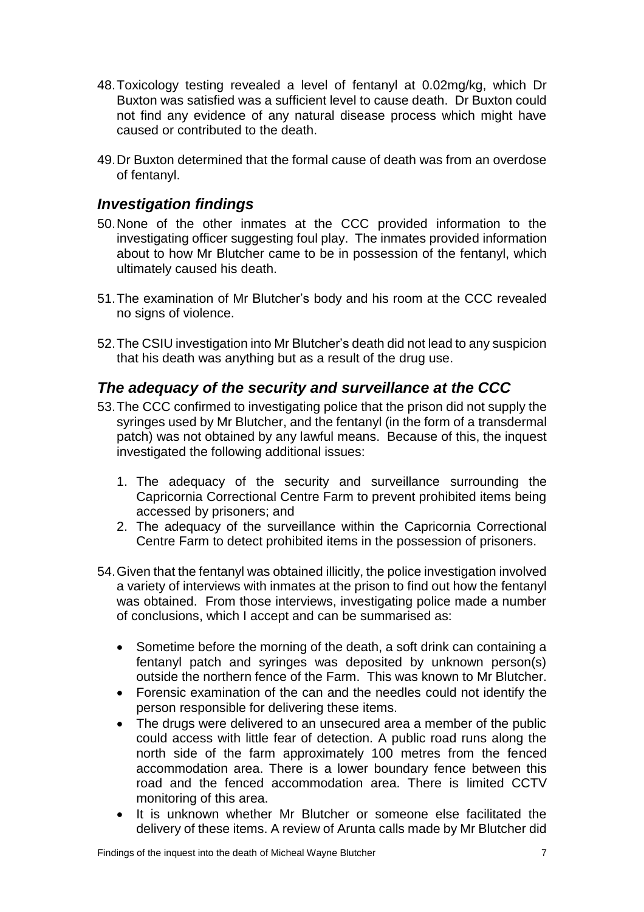- 48.Toxicology testing revealed a level of fentanyl at 0.02mg/kg, which Dr Buxton was satisfied was a sufficient level to cause death. Dr Buxton could not find any evidence of any natural disease process which might have caused or contributed to the death.
- 49.Dr Buxton determined that the formal cause of death was from an overdose of fentanyl.

### <span id="page-8-0"></span>*Investigation findings*

- 50.None of the other inmates at the CCC provided information to the investigating officer suggesting foul play. The inmates provided information about to how Mr Blutcher came to be in possession of the fentanyl, which ultimately caused his death.
- 51.The examination of Mr Blutcher's body and his room at the CCC revealed no signs of violence.
- 52.The CSIU investigation into Mr Blutcher's death did not lead to any suspicion that his death was anything but as a result of the drug use.

### *The adequacy of the security and surveillance at the CCC*

- 53.The CCC confirmed to investigating police that the prison did not supply the syringes used by Mr Blutcher, and the fentanyl (in the form of a transdermal patch) was not obtained by any lawful means. Because of this, the inquest investigated the following additional issues:
	- 1. The adequacy of the security and surveillance surrounding the Capricornia Correctional Centre Farm to prevent prohibited items being accessed by prisoners; and
	- 2. The adequacy of the surveillance within the Capricornia Correctional Centre Farm to detect prohibited items in the possession of prisoners.
- 54.Given that the fentanyl was obtained illicitly, the police investigation involved a variety of interviews with inmates at the prison to find out how the fentanyl was obtained. From those interviews, investigating police made a number of conclusions, which I accept and can be summarised as:
	- Sometime before the morning of the death, a soft drink can containing a fentanyl patch and syringes was deposited by unknown person(s) outside the northern fence of the Farm. This was known to Mr Blutcher.
	- Forensic examination of the can and the needles could not identify the person responsible for delivering these items.
	- The drugs were delivered to an unsecured area a member of the public could access with little fear of detection. A public road runs along the north side of the farm approximately 100 metres from the fenced accommodation area. There is a lower boundary fence between this road and the fenced accommodation area. There is limited CCTV monitoring of this area.
	- It is unknown whether Mr Blutcher or someone else facilitated the delivery of these items. A review of Arunta calls made by Mr Blutcher did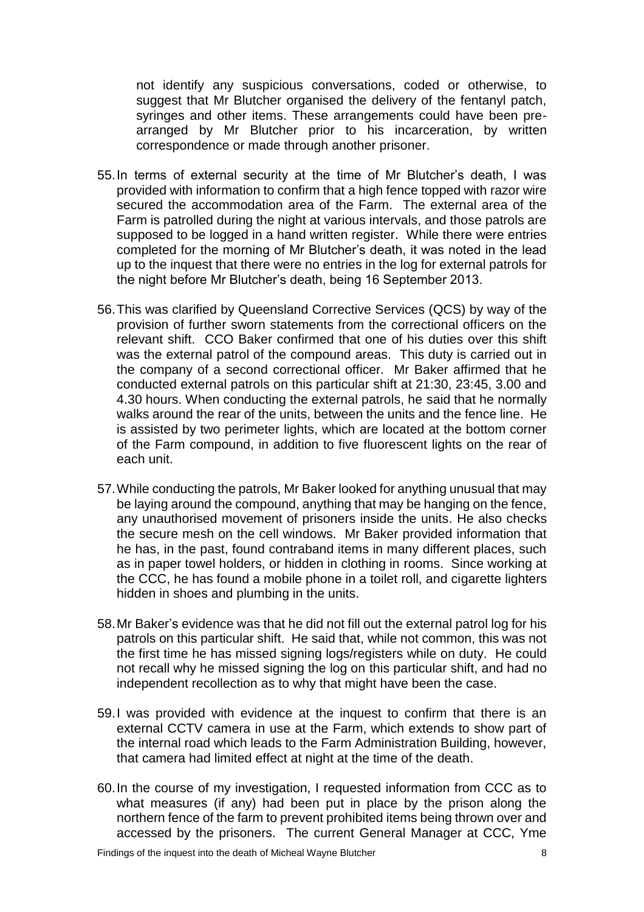not identify any suspicious conversations, coded or otherwise, to suggest that Mr Blutcher organised the delivery of the fentanyl patch, syringes and other items. These arrangements could have been prearranged by Mr Blutcher prior to his incarceration, by written correspondence or made through another prisoner.

- 55.In terms of external security at the time of Mr Blutcher's death, I was provided with information to confirm that a high fence topped with razor wire secured the accommodation area of the Farm. The external area of the Farm is patrolled during the night at various intervals, and those patrols are supposed to be logged in a hand written register. While there were entries completed for the morning of Mr Blutcher's death, it was noted in the lead up to the inquest that there were no entries in the log for external patrols for the night before Mr Blutcher's death, being 16 September 2013.
- 56.This was clarified by Queensland Corrective Services (QCS) by way of the provision of further sworn statements from the correctional officers on the relevant shift. CCO Baker confirmed that one of his duties over this shift was the external patrol of the compound areas. This duty is carried out in the company of a second correctional officer. Mr Baker affirmed that he conducted external patrols on this particular shift at 21:30, 23:45, 3.00 and 4.30 hours. When conducting the external patrols, he said that he normally walks around the rear of the units, between the units and the fence line. He is assisted by two perimeter lights, which are located at the bottom corner of the Farm compound, in addition to five fluorescent lights on the rear of each unit.
- 57.While conducting the patrols, Mr Baker looked for anything unusual that may be laying around the compound, anything that may be hanging on the fence, any unauthorised movement of prisoners inside the units. He also checks the secure mesh on the cell windows. Mr Baker provided information that he has, in the past, found contraband items in many different places, such as in paper towel holders, or hidden in clothing in rooms. Since working at the CCC, he has found a mobile phone in a toilet roll, and cigarette lighters hidden in shoes and plumbing in the units.
- 58.Mr Baker's evidence was that he did not fill out the external patrol log for his patrols on this particular shift. He said that, while not common, this was not the first time he has missed signing logs/registers while on duty. He could not recall why he missed signing the log on this particular shift, and had no independent recollection as to why that might have been the case.
- 59.I was provided with evidence at the inquest to confirm that there is an external CCTV camera in use at the Farm, which extends to show part of the internal road which leads to the Farm Administration Building, however, that camera had limited effect at night at the time of the death.
- 60.In the course of my investigation, I requested information from CCC as to what measures (if any) had been put in place by the prison along the northern fence of the farm to prevent prohibited items being thrown over and accessed by the prisoners. The current General Manager at CCC, Yme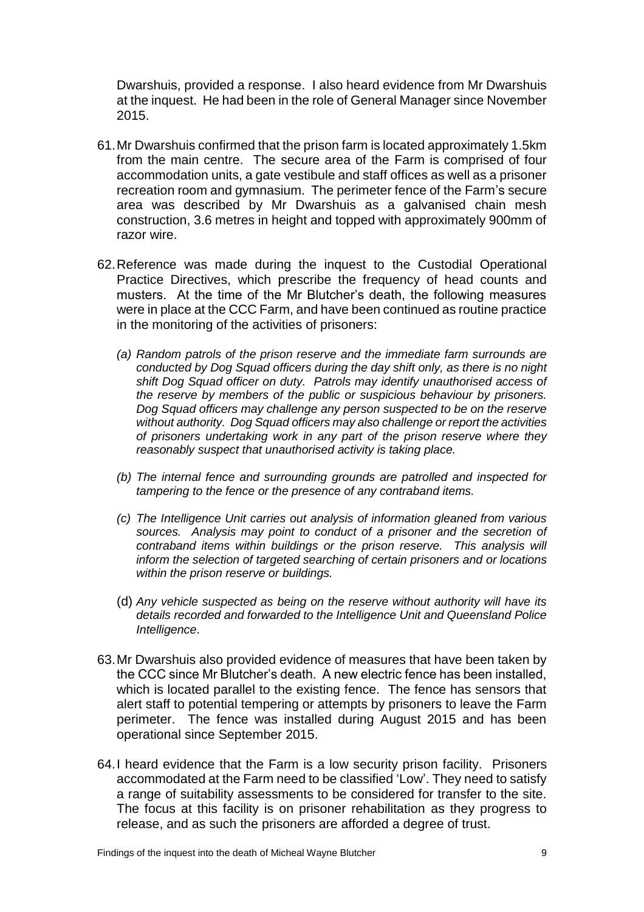Dwarshuis, provided a response. I also heard evidence from Mr Dwarshuis at the inquest. He had been in the role of General Manager since November 2015.

- 61.Mr Dwarshuis confirmed that the prison farm is located approximately 1.5km from the main centre. The secure area of the Farm is comprised of four accommodation units, a gate vestibule and staff offices as well as a prisoner recreation room and gymnasium. The perimeter fence of the Farm's secure area was described by Mr Dwarshuis as a galvanised chain mesh construction, 3.6 metres in height and topped with approximately 900mm of razor wire.
- 62.Reference was made during the inquest to the Custodial Operational Practice Directives, which prescribe the frequency of head counts and musters. At the time of the Mr Blutcher's death, the following measures were in place at the CCC Farm, and have been continued as routine practice in the monitoring of the activities of prisoners:
	- *(a) Random patrols of the prison reserve and the immediate farm surrounds are conducted by Dog Squad officers during the day shift only, as there is no night shift Dog Squad officer on duty. Patrols may identify unauthorised access of the reserve by members of the public or suspicious behaviour by prisoners. Dog Squad officers may challenge any person suspected to be on the reserve without authority. Dog Squad officers may also challenge or report the activities of prisoners undertaking work in any part of the prison reserve where they reasonably suspect that unauthorised activity is taking place.*
	- *(b) The internal fence and surrounding grounds are patrolled and inspected for tampering to the fence or the presence of any contraband items.*
	- *(c) The Intelligence Unit carries out analysis of information gleaned from various sources. Analysis may point to conduct of a prisoner and the secretion of contraband items within buildings or the prison reserve. This analysis will inform the selection of targeted searching of certain prisoners and or locations within the prison reserve or buildings.*
	- (d) *Any vehicle suspected as being on the reserve without authority will have its details recorded and forwarded to the Intelligence Unit and Queensland Police Intelligence*.
- 63.Mr Dwarshuis also provided evidence of measures that have been taken by the CCC since Mr Blutcher's death. A new electric fence has been installed, which is located parallel to the existing fence. The fence has sensors that alert staff to potential tempering or attempts by prisoners to leave the Farm perimeter. The fence was installed during August 2015 and has been operational since September 2015.
- 64.I heard evidence that the Farm is a low security prison facility. Prisoners accommodated at the Farm need to be classified 'Low'. They need to satisfy a range of suitability assessments to be considered for transfer to the site. The focus at this facility is on prisoner rehabilitation as they progress to release, and as such the prisoners are afforded a degree of trust.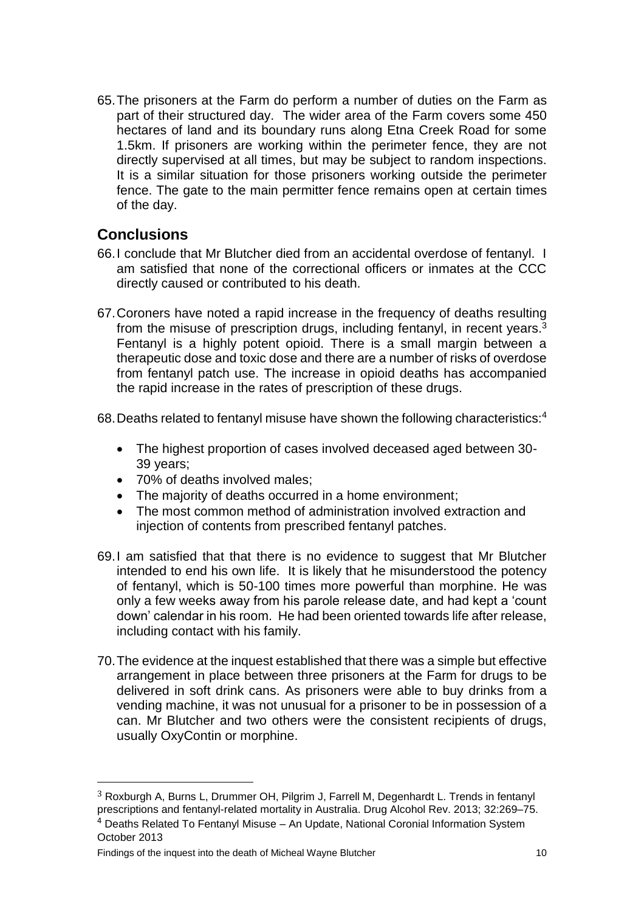65.The prisoners at the Farm do perform a number of duties on the Farm as part of their structured day. The wider area of the Farm covers some 450 hectares of land and its boundary runs along Etna Creek Road for some 1.5km. If prisoners are working within the perimeter fence, they are not directly supervised at all times, but may be subject to random inspections. It is a similar situation for those prisoners working outside the perimeter fence. The gate to the main permitter fence remains open at certain times of the day.

### <span id="page-11-0"></span>**Conclusions**

- 66.I conclude that Mr Blutcher died from an accidental overdose of fentanyl. I am satisfied that none of the correctional officers or inmates at the CCC directly caused or contributed to his death.
- 67.Coroners have noted a rapid increase in the frequency of deaths resulting from the misuse of prescription drugs, including fentanyl, in recent years.<sup>3</sup> Fentanyl is a highly potent opioid. There is a small margin between a therapeutic dose and toxic dose and there are a number of risks of overdose from fentanyl patch use. The increase in opioid deaths has accompanied the rapid increase in the rates of prescription of these drugs.

68.Deaths related to fentanyl misuse have shown the following characteristics:<sup>4</sup>

- The highest proportion of cases involved deceased aged between 30- 39 years;
- 70% of deaths involved males;
- The majority of deaths occurred in a home environment;
- The most common method of administration involved extraction and injection of contents from prescribed fentanyl patches.
- 69.I am satisfied that that there is no evidence to suggest that Mr Blutcher intended to end his own life. It is likely that he misunderstood the potency of fentanyl, which is 50-100 times more powerful than morphine. He was only a few weeks away from his parole release date, and had kept a 'count down' calendar in his room. He had been oriented towards life after release, including contact with his family.
- 70.The evidence at the inquest established that there was a simple but effective arrangement in place between three prisoners at the Farm for drugs to be delivered in soft drink cans. As prisoners were able to buy drinks from a vending machine, it was not unusual for a prisoner to be in possession of a can. Mr Blutcher and two others were the consistent recipients of drugs, usually OxyContin or morphine.

 $\overline{a}$ 

<sup>3</sup> Roxburgh A, Burns L, Drummer OH, Pilgrim J, Farrell M, Degenhardt L. Trends in fentanyl prescriptions and fentanyl-related mortality in Australia. Drug Alcohol Rev. 2013; 32:269–75.

<sup>4</sup> Deaths Related To Fentanyl Misuse – An Update, National Coronial Information System October 2013

Findings of the inquest into the death of Micheal Wayne Blutcher 10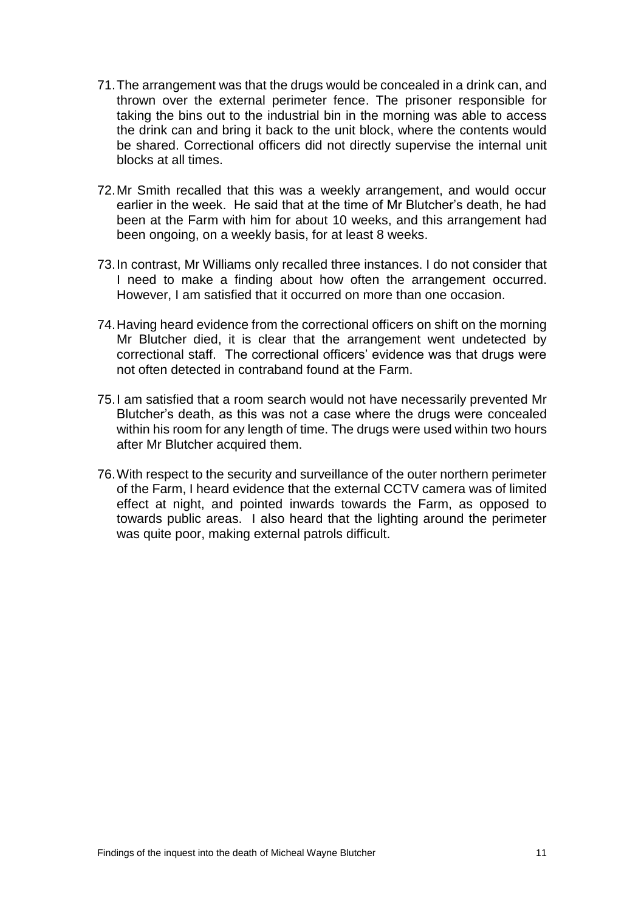- 71.The arrangement was that the drugs would be concealed in a drink can, and thrown over the external perimeter fence. The prisoner responsible for taking the bins out to the industrial bin in the morning was able to access the drink can and bring it back to the unit block, where the contents would be shared. Correctional officers did not directly supervise the internal unit blocks at all times.
- 72.Mr Smith recalled that this was a weekly arrangement, and would occur earlier in the week. He said that at the time of Mr Blutcher's death, he had been at the Farm with him for about 10 weeks, and this arrangement had been ongoing, on a weekly basis, for at least 8 weeks.
- 73.In contrast, Mr Williams only recalled three instances. I do not consider that I need to make a finding about how often the arrangement occurred. However, I am satisfied that it occurred on more than one occasion.
- 74.Having heard evidence from the correctional officers on shift on the morning Mr Blutcher died, it is clear that the arrangement went undetected by correctional staff. The correctional officers' evidence was that drugs were not often detected in contraband found at the Farm.
- 75.I am satisfied that a room search would not have necessarily prevented Mr Blutcher's death, as this was not a case where the drugs were concealed within his room for any length of time. The drugs were used within two hours after Mr Blutcher acquired them.
- 76.With respect to the security and surveillance of the outer northern perimeter of the Farm, I heard evidence that the external CCTV camera was of limited effect at night, and pointed inwards towards the Farm, as opposed to towards public areas. I also heard that the lighting around the perimeter was quite poor, making external patrols difficult.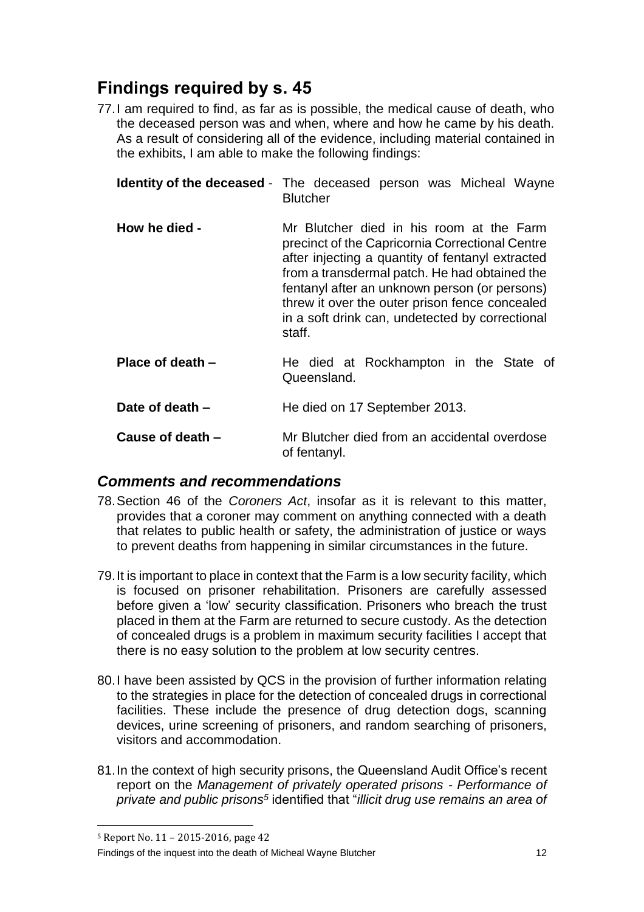# <span id="page-13-0"></span>**Findings required by s. 45**

77.I am required to find, as far as is possible, the medical cause of death, who the deceased person was and when, where and how he came by his death. As a result of considering all of the evidence, including material contained in the exhibits, I am able to make the following findings:

<span id="page-13-2"></span><span id="page-13-1"></span>

|                  | <b>Identity of the deceased</b> - The deceased person was Micheal Wayne<br><b>Blutcher</b>                                                                                                                                                                                                                                                                       |
|------------------|------------------------------------------------------------------------------------------------------------------------------------------------------------------------------------------------------------------------------------------------------------------------------------------------------------------------------------------------------------------|
| How he died -    | Mr Blutcher died in his room at the Farm<br>precinct of the Capricornia Correctional Centre<br>after injecting a quantity of fentanyl extracted<br>from a transdermal patch. He had obtained the<br>fentanyl after an unknown person (or persons)<br>threw it over the outer prison fence concealed<br>in a soft drink can, undetected by correctional<br>staff. |
| Place of death - | He died at Rockhampton in the State of<br>Queensland.                                                                                                                                                                                                                                                                                                            |
| Date of death -  | He died on 17 September 2013.                                                                                                                                                                                                                                                                                                                                    |
| Cause of death - | Mr Blutcher died from an accidental overdose<br>of fentanyl.                                                                                                                                                                                                                                                                                                     |

### <span id="page-13-6"></span><span id="page-13-5"></span><span id="page-13-4"></span><span id="page-13-3"></span>*Comments and recommendations*

- 78.Section 46 of the *Coroners Act*, insofar as it is relevant to this matter, provides that a coroner may comment on anything connected with a death that relates to public health or safety, the administration of justice or ways to prevent deaths from happening in similar circumstances in the future.
- 79.It is important to place in context that the Farm is a low security facility, which is focused on prisoner rehabilitation. Prisoners are carefully assessed before given a 'low' security classification. Prisoners who breach the trust placed in them at the Farm are returned to secure custody. As the detection of concealed drugs is a problem in maximum security facilities I accept that there is no easy solution to the problem at low security centres.
- 80.I have been assisted by QCS in the provision of further information relating to the strategies in place for the detection of concealed drugs in correctional facilities. These include the presence of drug detection dogs, scanning devices, urine screening of prisoners, and random searching of prisoners, visitors and accommodation.
- 81.In the context of high security prisons, the Queensland Audit Office's recent report on the *Management of privately operated prisons - Performance of private and public prisons<sup>5</sup>* identified that "*illicit drug use remains an area of*

 $\overline{a}$ 

Findings of the inquest into the death of Micheal Wayne Blutcher 12

<sup>5</sup> Report No. 11 – 2015-2016, page 42